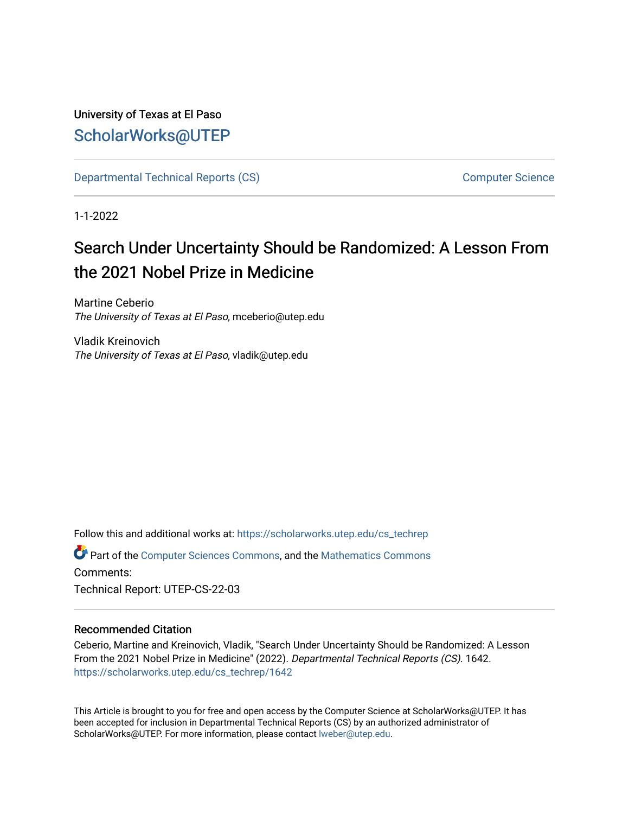# University of Texas at El Paso [ScholarWorks@UTEP](https://scholarworks.utep.edu/)

[Departmental Technical Reports \(CS\)](https://scholarworks.utep.edu/cs_techrep) [Computer Science](https://scholarworks.utep.edu/computer) 

1-1-2022

# Search Under Uncertainty Should be Randomized: A Lesson From the 2021 Nobel Prize in Medicine

Martine Ceberio The University of Texas at El Paso, mceberio@utep.edu

Vladik Kreinovich The University of Texas at El Paso, vladik@utep.edu

Follow this and additional works at: [https://scholarworks.utep.edu/cs\\_techrep](https://scholarworks.utep.edu/cs_techrep?utm_source=scholarworks.utep.edu%2Fcs_techrep%2F1642&utm_medium=PDF&utm_campaign=PDFCoverPages) 

Part of the [Computer Sciences Commons](http://network.bepress.com/hgg/discipline/142?utm_source=scholarworks.utep.edu%2Fcs_techrep%2F1642&utm_medium=PDF&utm_campaign=PDFCoverPages), and the [Mathematics Commons](http://network.bepress.com/hgg/discipline/174?utm_source=scholarworks.utep.edu%2Fcs_techrep%2F1642&utm_medium=PDF&utm_campaign=PDFCoverPages)  Comments:

Technical Report: UTEP-CS-22-03

# Recommended Citation

Ceberio, Martine and Kreinovich, Vladik, "Search Under Uncertainty Should be Randomized: A Lesson From the 2021 Nobel Prize in Medicine" (2022). Departmental Technical Reports (CS). 1642. [https://scholarworks.utep.edu/cs\\_techrep/1642](https://scholarworks.utep.edu/cs_techrep/1642?utm_source=scholarworks.utep.edu%2Fcs_techrep%2F1642&utm_medium=PDF&utm_campaign=PDFCoverPages) 

This Article is brought to you for free and open access by the Computer Science at ScholarWorks@UTEP. It has been accepted for inclusion in Departmental Technical Reports (CS) by an authorized administrator of ScholarWorks@UTEP. For more information, please contact [lweber@utep.edu](mailto:lweber@utep.edu).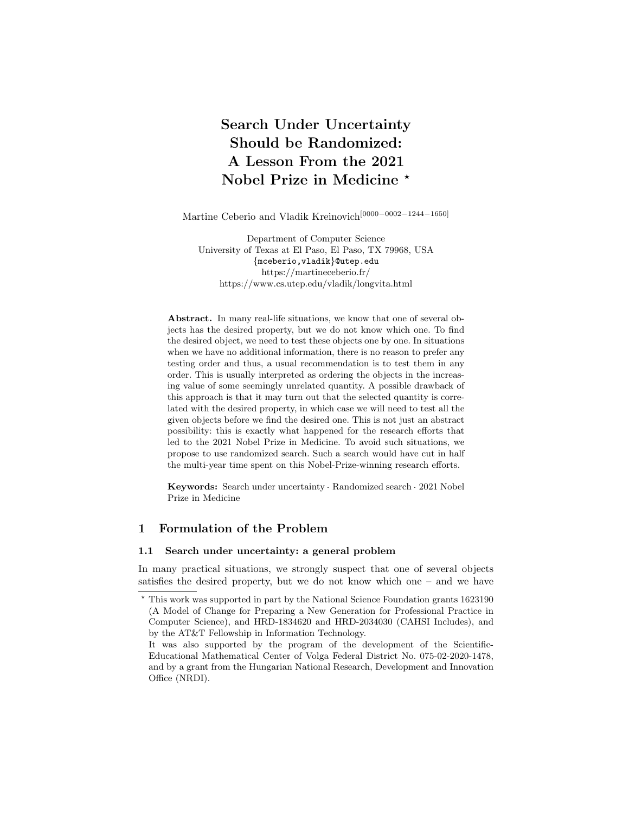# Search Under Uncertainty Should be Randomized: A Lesson From the 2021 Nobel Prize in Medicine  $\star$

Martine Ceberio and Vladik Kreinovich[0000−0002−1244−1650]

Department of Computer Science University of Texas at El Paso, El Paso, TX 79968, USA {mceberio,vladik}@utep.edu https://martineceberio.fr/ https://www.cs.utep.edu/vladik/longvita.html

Abstract. In many real-life situations, we know that one of several objects has the desired property, but we do not know which one. To find the desired object, we need to test these objects one by one. In situations when we have no additional information, there is no reason to prefer any testing order and thus, a usual recommendation is to test them in any order. This is usually interpreted as ordering the objects in the increasing value of some seemingly unrelated quantity. A possible drawback of this approach is that it may turn out that the selected quantity is correlated with the desired property, in which case we will need to test all the given objects before we find the desired one. This is not just an abstract possibility: this is exactly what happened for the research efforts that led to the 2021 Nobel Prize in Medicine. To avoid such situations, we propose to use randomized search. Such a search would have cut in half the multi-year time spent on this Nobel-Prize-winning research efforts.

Keywords: Search under uncertainty · Randomized search · 2021 Nobel Prize in Medicine

## 1 Formulation of the Problem

#### 1.1 Search under uncertainty: a general problem

In many practical situations, we strongly suspect that one of several objects satisfies the desired property, but we do not know which one – and we have

<sup>⋆</sup> This work was supported in part by the National Science Foundation grants 1623190 (A Model of Change for Preparing a New Generation for Professional Practice in Computer Science), and HRD-1834620 and HRD-2034030 (CAHSI Includes), and by the AT&T Fellowship in Information Technology.

It was also supported by the program of the development of the Scientific-Educational Mathematical Center of Volga Federal District No. 075-02-2020-1478, and by a grant from the Hungarian National Research, Development and Innovation Office (NRDI).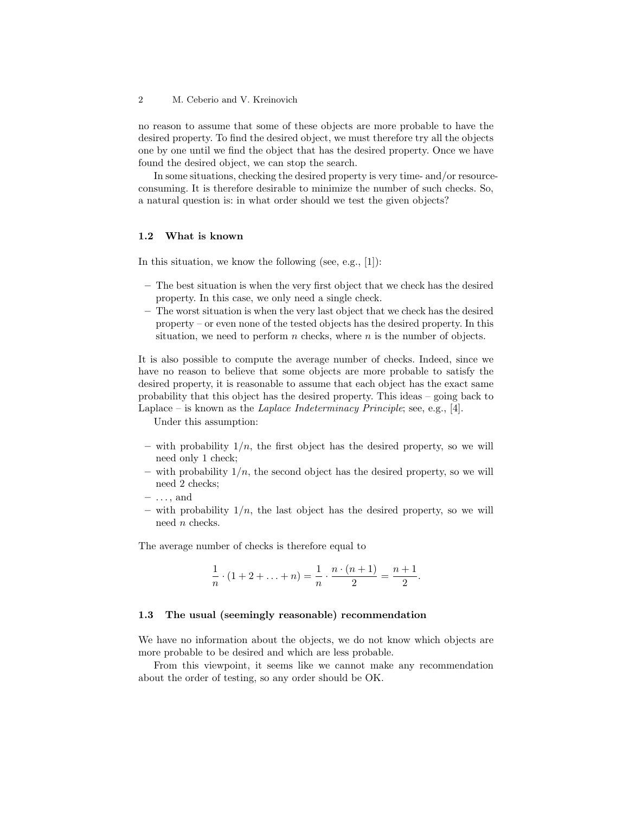no reason to assume that some of these objects are more probable to have the desired property. To find the desired object, we must therefore try all the objects one by one until we find the object that has the desired property. Once we have found the desired object, we can stop the search.

In some situations, checking the desired property is very time- and/or resourceconsuming. It is therefore desirable to minimize the number of such checks. So, a natural question is: in what order should we test the given objects?

#### 1.2 What is known

In this situation, we know the following (see, e.g., [1]):

- The best situation is when the very first object that we check has the desired property. In this case, we only need a single check.
- The worst situation is when the very last object that we check has the desired property – or even none of the tested objects has the desired property. In this situation, we need to perform n checks, where n is the number of objects.

It is also possible to compute the average number of checks. Indeed, since we have no reason to believe that some objects are more probable to satisfy the desired property, it is reasonable to assume that each object has the exact same probability that this object has the desired property. This ideas – going back to Laplace – is known as the *Laplace Indeterminacy Principle*; see, e.g., [4].

Under this assumption:

- with probability  $1/n$ , the first object has the desired property, so we will need only 1 check;
- with probability  $1/n$ , the second object has the desired property, so we will need 2 checks;
- $\ldots$ , and
- with probability  $1/n$ , the last object has the desired property, so we will need n checks.

The average number of checks is therefore equal to

$$
\frac{1}{n} \cdot (1 + 2 + \ldots + n) = \frac{1}{n} \cdot \frac{n \cdot (n+1)}{2} = \frac{n+1}{2}.
$$

#### 1.3 The usual (seemingly reasonable) recommendation

We have no information about the objects, we do not know which objects are more probable to be desired and which are less probable.

From this viewpoint, it seems like we cannot make any recommendation about the order of testing, so any order should be OK.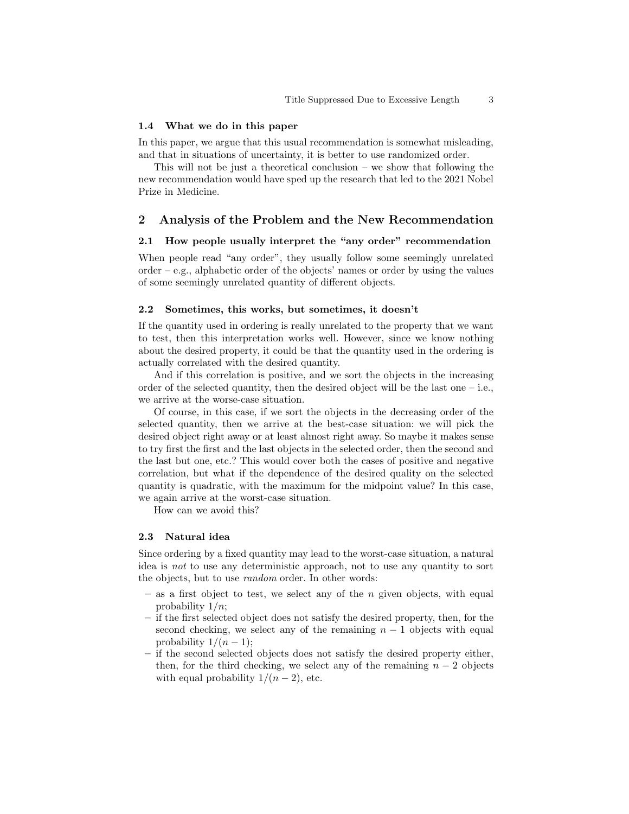#### 1.4 What we do in this paper

In this paper, we argue that this usual recommendation is somewhat misleading, and that in situations of uncertainty, it is better to use randomized order.

This will not be just a theoretical conclusion – we show that following the new recommendation would have sped up the research that led to the 2021 Nobel Prize in Medicine.

#### 2 Analysis of the Problem and the New Recommendation

#### 2.1 How people usually interpret the "any order" recommendation

When people read "any order", they usually follow some seemingly unrelated order – e.g., alphabetic order of the objects' names or order by using the values of some seemingly unrelated quantity of different objects.

#### 2.2 Sometimes, this works, but sometimes, it doesn't

If the quantity used in ordering is really unrelated to the property that we want to test, then this interpretation works well. However, since we know nothing about the desired property, it could be that the quantity used in the ordering is actually correlated with the desired quantity.

And if this correlation is positive, and we sort the objects in the increasing order of the selected quantity, then the desired object will be the last one  $-$  i.e., we arrive at the worse-case situation.

Of course, in this case, if we sort the objects in the decreasing order of the selected quantity, then we arrive at the best-case situation: we will pick the desired object right away or at least almost right away. So maybe it makes sense to try first the first and the last objects in the selected order, then the second and the last but one, etc.? This would cover both the cases of positive and negative correlation, but what if the dependence of the desired quality on the selected quantity is quadratic, with the maximum for the midpoint value? In this case, we again arrive at the worst-case situation.

How can we avoid this?

#### 2.3 Natural idea

Since ordering by a fixed quantity may lead to the worst-case situation, a natural idea is not to use any deterministic approach, not to use any quantity to sort the objects, but to use random order. In other words:

- $-$  as a first object to test, we select any of the n given objects, with equal probability  $1/n$ ;
- if the first selected object does not satisfy the desired property, then, for the second checking, we select any of the remaining  $n - 1$  objects with equal probability  $1/(n-1)$ ;
- if the second selected objects does not satisfy the desired property either, then, for the third checking, we select any of the remaining  $n-2$  objects with equal probability  $1/(n-2)$ , etc.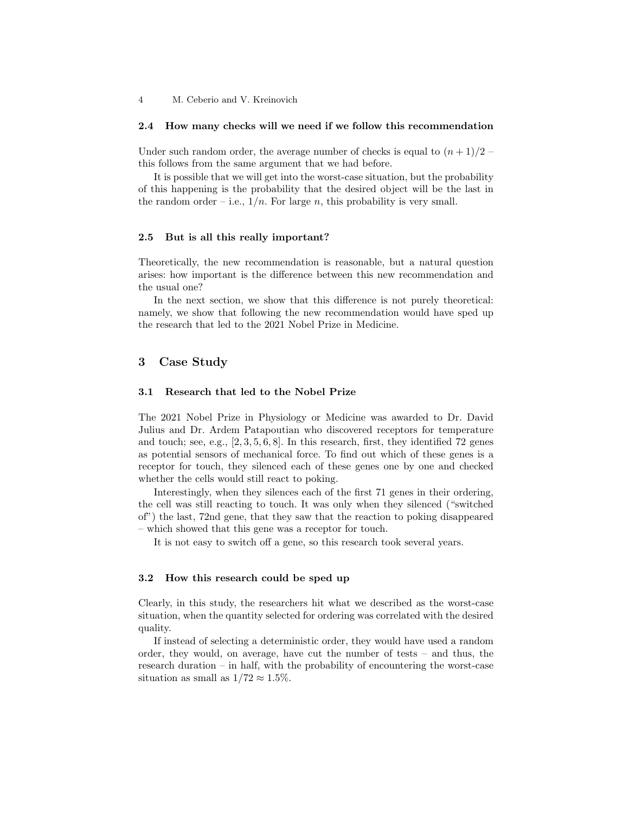4 M. Ceberio and V. Kreinovich

#### 2.4 How many checks will we need if we follow this recommendation

Under such random order, the average number of checks is equal to  $(n+1)/2$ this follows from the same argument that we had before.

It is possible that we will get into the worst-case situation, but the probability of this happening is the probability that the desired object will be the last in the random order – i.e.,  $1/n$ . For large n, this probability is very small.

#### 2.5 But is all this really important?

Theoretically, the new recommendation is reasonable, but a natural question arises: how important is the difference between this new recommendation and the usual one?

In the next section, we show that this difference is not purely theoretical: namely, we show that following the new recommendation would have sped up the research that led to the 2021 Nobel Prize in Medicine.

### 3 Case Study

#### 3.1 Research that led to the Nobel Prize

The 2021 Nobel Prize in Physiology or Medicine was awarded to Dr. David Julius and Dr. Ardem Patapoutian who discovered receptors for temperature and touch; see, e.g.,  $[2, 3, 5, 6, 8]$ . In this research, first, they identified 72 genes as potential sensors of mechanical force. To find out which of these genes is a receptor for touch, they silenced each of these genes one by one and checked whether the cells would still react to poking.

Interestingly, when they silences each of the first 71 genes in their ordering, the cell was still reacting to touch. It was only when they silenced ("switched of") the last, 72nd gene, that they saw that the reaction to poking disappeared – which showed that this gene was a receptor for touch.

It is not easy to switch off a gene, so this research took several years.

#### 3.2 How this research could be sped up

Clearly, in this study, the researchers hit what we described as the worst-case situation, when the quantity selected for ordering was correlated with the desired quality.

If instead of selecting a deterministic order, they would have used a random order, they would, on average, have cut the number of tests – and thus, the research duration – in half, with the probability of encountering the worst-case situation as small as  $1/72 \approx 1.5\%$ .